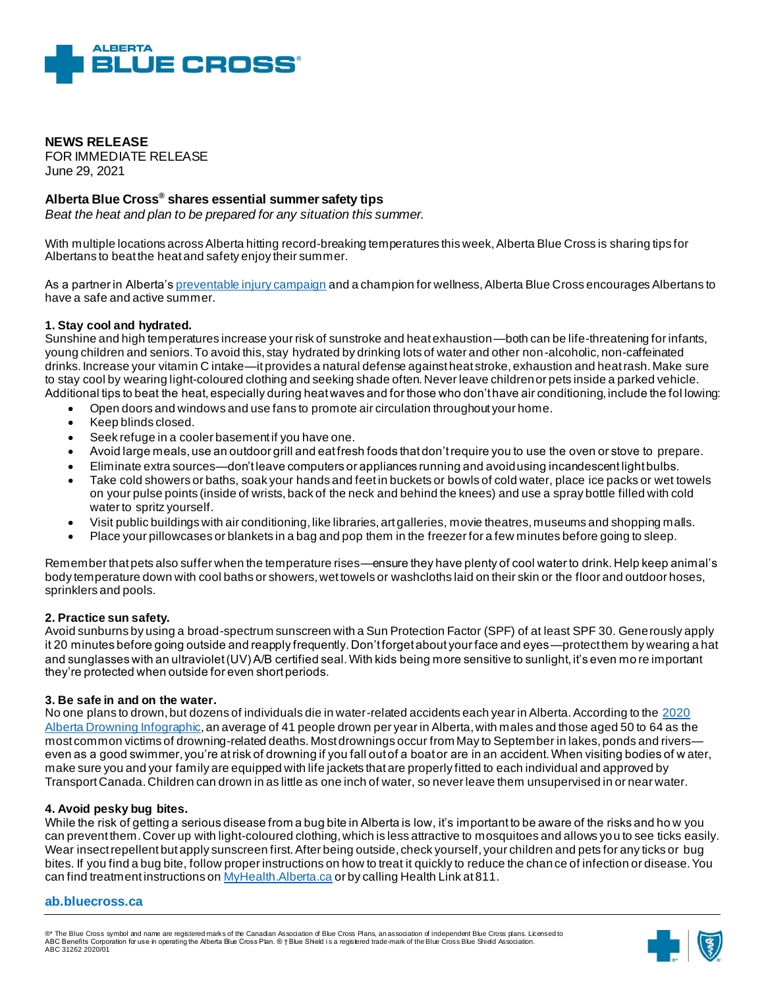

**NEWS RELEASE**  FOR IMMEDIATE RELEASE June 29, 2021

# **Alberta Blue Cross® shares essential summer safety tips**

*Beat the heat and plan to be prepared for any situation this summer.*

With multiple locations across Alberta hitting record-breaking temperatures this week, Alberta Blue Cross is sharing tips for Albertans to beat the heat and safety enjoy their summer.

As a partner in Alberta'[s preventable injury campaign](https://www.preventable.ca/) and a champion for wellness, Alberta Blue Cross encourages Albertans to have a safe and active summer.

### **1. Stay cool and hydrated.**

Sunshine and high temperatures increase your risk of sunstroke and heat exhaustion—both can be life-threatening for infants, young children and seniors. To avoid this, stay hydrated by drinking lots of water and other non-alcoholic, non-caffeinated drinks. Increase your vitamin C intake—it provides a natural defense against heat stroke, exhaustion and heat rash. Make sure to stay cool by wearing light-coloured clothing and seeking shade often. Never leave children or pets inside a parked vehicle. Additional tips to beat the heat, especially during heat waves and for those who don't have air conditioning, include the fol lowing:

- Open doors and windows and use fans to promote air circulation throughout your home.
- Keep blinds closed.
- Seek refuge in a cooler basement if you have one.
- Avoid large meals, use an outdoor grill and eat fresh foods that don't require you to use the oven or stove to prepare.
- Eliminate extra sources—don't leave computers or appliances running and avoid using incandescent light bulbs.
- Take cold showers or baths, soak your hands and feet in buckets or bowls of cold water, place ice packs or wet towels on your pulse points (inside of wrists, back of the neck and behind the knees) and use a spray bottle filled with cold water to spritz yourself.
- Visit public buildings with air conditioning, like libraries, art galleries, movie theatres, museums and shopping malls.
- Place your pillowcases or blankets in a bag and pop them in the freezer for a few minutes before going to sleep.

Remember that pets also suffer when the temperature rises—ensure they have plenty of cool water to drink. Help keep animal's body temperature down with cool baths or showers, wet towels or washcloths laid on their skin or the floor and outdoor hoses, sprinklers and pools.

## **2. Practice sun safety.**

Avoid sunburns by using a broad-spectrum sunscreen with a Sun Protection Factor (SPF) of at least SPF 30. Generously apply it 20 minutes before going outside and reapply frequently. Don't forget about your face and eyes—protect them by wearing a hat and sunglasses with an ultraviolet (UV) A/B certified seal. With kids being more sensitive to sunlight, it's even mo re important they're protected when outside for even short periods.

#### **3. Be safe in and on the water.**

No one plans to drown, but dozens of individuals die in water-related accidents each year in Alberta. According to the [2020](https://www.lifesaving.org/public-education/drowning-reports) [Alberta Drowning Infographic](https://www.lifesaving.org/public-education/drowning-reports), an average of 41 people drown per year in Alberta, with males and those aged 50 to 64 as the most common victims of drowning-related deaths. Most drownings occur from May to September in lakes, ponds and rivers even as a good swimmer, you're at risk of drowning if you fall out of a boat or are in an accident. When visiting bodies of w ater, make sure you and your family are equipped with life jackets that are properly fitted to each individual and approved by Transport Canada. Children can drown in as little as one inch of water, so never leave them unsupervised in or near water.

#### **4. Avoid pesky bug bites.**

While the risk of getting a serious disease from a bug bite in Alberta is low, it's important to be aware of the risks and ho w you can prevent them. Cover up with light-coloured clothing, which is less attractive to mosquitoes and allows you to see ticks easily. Wear insect repellent but apply sunscreen first. After being outside, check yourself, your children and pets for any ticks or bug bites. If you find a bug bite, follow proper instructions on how to treat it quickly to reduce the chan ce of infection or disease. You can find treatment instructions o[n MyHealth.Alberta.ca](https://myhealth.alberta.ca/health/pages/conditions.aspx?Hwid=insbt) or by calling Health Link at 811.

#### **ab.bluecross.ca**

®\* The Blue Cross symbol and name are registered marks of the Canadian Association of Blue Cross Plans, an association of independent Blue Cross plans. Licensed to ABC Benefits Corporation for use in operating the Alberta Blue Cross Plan. ® † Blue Shield i s a registered trade-mark of the Blue Cross Blue Shield Association. ABC 31262 2020/01